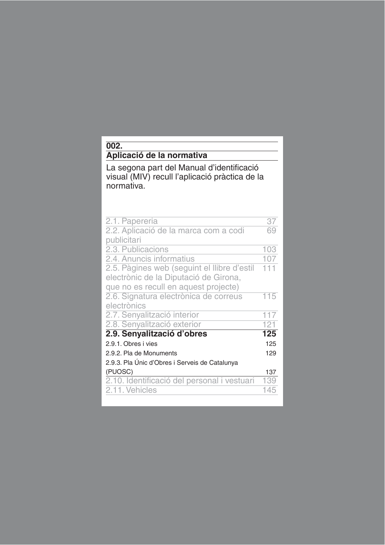| 002.                                                                                                                         |     |
|------------------------------------------------------------------------------------------------------------------------------|-----|
| Aplicació de la normativa                                                                                                    |     |
| La segona part del Manual d'identificació<br>visual (MIV) recull l'aplicació pràctica de la<br>normativa.                    |     |
| 2.1. Papereria                                                                                                               | 37  |
| 2.2. Aplicació de la marca com a codi<br>publicitari                                                                         | 69  |
| 2.3. Publicacions                                                                                                            | 103 |
| 2.4. Anuncis informatius                                                                                                     | 107 |
| 2.5. Pàgines web (seguint el llibre d'estil<br>electrònic de la Diputació de Girona,<br>que no es recull en aquest projecte) | 111 |
| 2.6. Signatura electrònica de correus<br>electrònics                                                                         | 115 |
| 2.7. Senyalització interior                                                                                                  | 117 |
| 2.8. Senyalització exterior                                                                                                  | 121 |
| 2.9. Senyalització d'obres                                                                                                   | 125 |
| 2.9.1. Obres i vies                                                                                                          | 125 |
| 2.9.2. Pla de Monuments                                                                                                      | 129 |
| 2.9.3. Pla Únic d'Obres i Serveis de Catalunya                                                                               |     |
| (PUOSC)                                                                                                                      | 137 |
| 2.10. Identificació del personal i vestuari                                                                                  | 139 |
| 2.11. Vehicles                                                                                                               | 145 |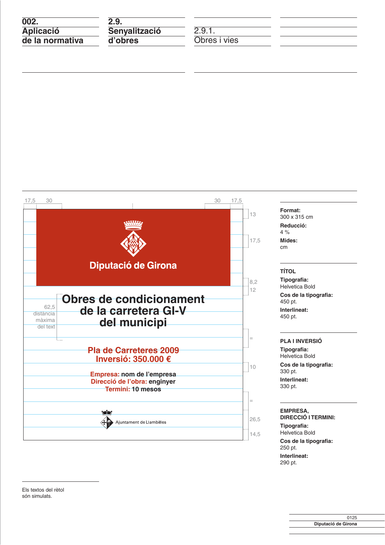$\overline{002}$ **Aplicació**  $\frac{1}{\text{de}}$  la normativa

 $2.9.$ **Senyalització** d'obres

 $2.9.1.$ Obres i vies



Format: 300 x 315 cm Reducció:

 $4%$ Mides: cm

### **TÍTOL**

Tipografia: Helvetica Bold Cos de la tipografia: 450 pt. Interlineat: 450 pt.

#### **PLA I INVERSIÓ**

Tipografia: Helvetica Bold Cos de la tipografia: 330 pt. Interlineat: 330 pt.

#### EMPRESA, **DIRECCIÓ I TERMINI:**

Tipografia: Helvetica Bold Cos de la tipografia: 250 pt. Interlineat: 290 pt.

Els textos del rètol són simulats.

> 0125 Diputació de Girona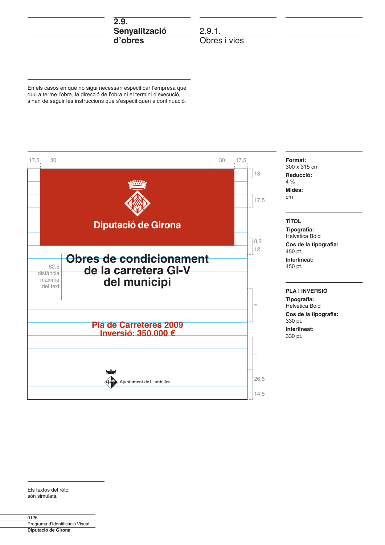

 $2.9.1.$ Obres i vies

En els casos en què no sigui necessari especificar l'empresa que duu a terme l'obra, la direcció de l'obra ni el termini d'execució, s'han de seguir les instruccions que s'especifiquen a continuació.



Els textos del rètol són simulats.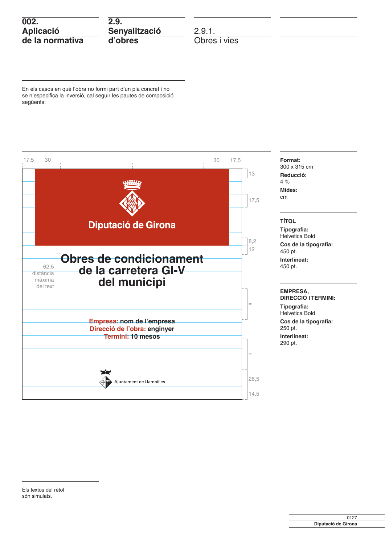| 002.             |           |
|------------------|-----------|
| <b>Aplicació</b> | <b>Se</b> |
| de la normativa  | d'        |

9. enyalització obres

 $2.9.1.$ Obres i vies

En els casos en què l'obra no formi part d'un pla concret i no se n'especifica la inversió, cal seguir les pautes de composició següents:

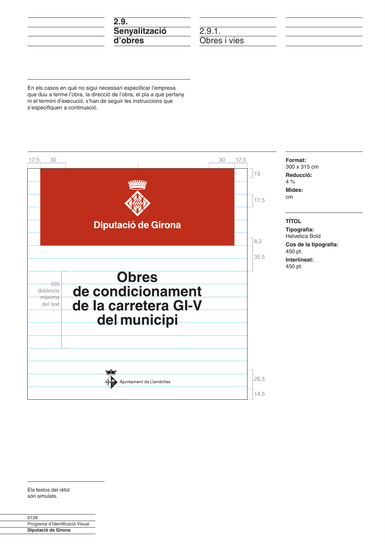| 2.9.          |  |
|---------------|--|
| Senyalització |  |
| d'obres       |  |

 $2.9.1.$ Obres i vies

En els casos en què no sigui necessari especificar l'empresa que duu a terme l'obra, la direcció de l'obra, el pla a què pertany ni el termini d'execució, s'han de seguir les instruccions que s'especifiquen a continuació.



Els textos del rètol són simulats.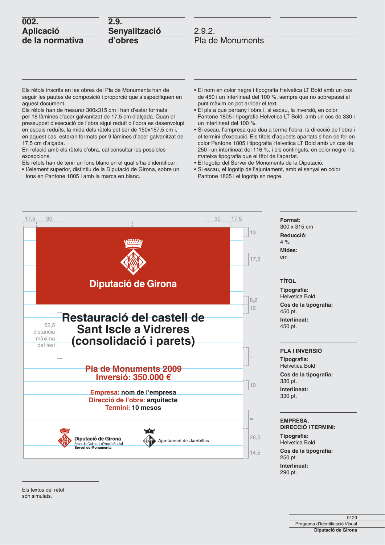| 002.             |  |
|------------------|--|
| <b>Aplicació</b> |  |
| de la normativa  |  |

| 2.9.          |  |
|---------------|--|
| Senyalització |  |
| d'obres       |  |

Els rètols inscrits en les obres del Pla de Monuments han de seguir les pautes de composició i proporció que s'especifiquen en aquest document.

Els rètols han de mesurar 300x315 cm i han d'estar formats per 18 làmines d'acer galvanitzat de 17,5 cm d'alçada. Quan el pressupost d'execució de l'obra sigui reduït o l'obra es desenvolupi en espais reduïts, la mida dels rètols pot ser de 150x157,5 cm i, en aquest cas, estaran formats per 9 làmines d'acer galvanitzat de 17,5 cm d'alcada.

En relació amb els rètols d'obra, cal consultar les possibles excepcions.

Els rètols han de tenir un fons blanc en el qual s'ha d'identificar:

• L'element superior, distintiu de la Diputació de Girona, sobre un fons en Pantone 1805 i amb la marca en blanc.

- · El nom en color negre i tipografia Helvetica LT Bold amb un cos de 450 i un interlineat del 100 %, sempre que no sobrepassi el punt màxim on pot arribar el text.
- · El pla a què pertany l'obra i, si escau, la inversió, en color Pantone 1805 i tipografia Helvetica LT Bold, amb un cos de 330 i un interlineat del 100 %.
- · Si escau, l'empresa que duu a terme l'obra, la direcció de l'obra i el termini d'execució. Els títols d'aquests apartats s'han de fer en color Pantone 1805 i tipografia Helvetica LT Bold amb un cos de 250 i un interlineat del 116 %, i els continguts, en color negre i la mateixa tipografia que el títol de l'apartat.

Format: 300 x 315 cm

Reducció:  $4%$ Mides: cm

**TÍTOL** 

450 pt.

450 pt.

330 pt.

330 pt.

Interlineat:

Tipografia: **Helvetica Bold** 

Interlineat:

**PLA I INVERSIÓ** Tipografia: Helvetica Bold

Cos de la tipografia:

Cos de la tipografia:

- · El logotip del Servei de Monuments de la Diputació.
- · Si escau, el logotip de l'ajuntament, amb el senyal en color Pantone 1805 i el logotip en negre.



**EMPRESA, DIRECCIÓ I TERMINI:** Tipografia: **Helvetica Bold** Cos de la tipografia: 250 pt. Interlinest:

290 pt.

0129 Programa d'Identificació Visual Diputació de Girona

Els textos del rètol són simulats.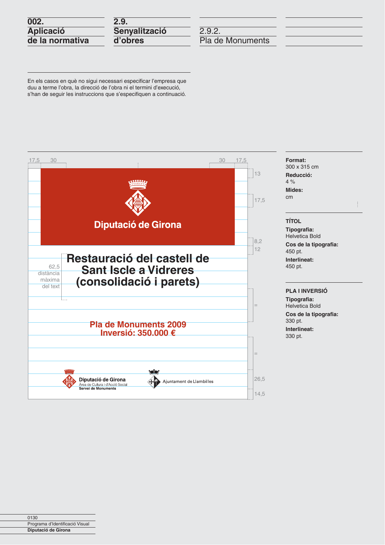| 002. |                  |
|------|------------------|
|      | <b>Aplicació</b> |
|      | de la normativa  |

| 2.9.          |  |
|---------------|--|
| Senyalització |  |
| d'obres       |  |

En els casos en què no sigui necessari especificar l'empresa que duu a terme l'obra, la direcció de l'obra ni el termini d'execució, s'han de seguir les instruccions que s'especifiquen a continuació.

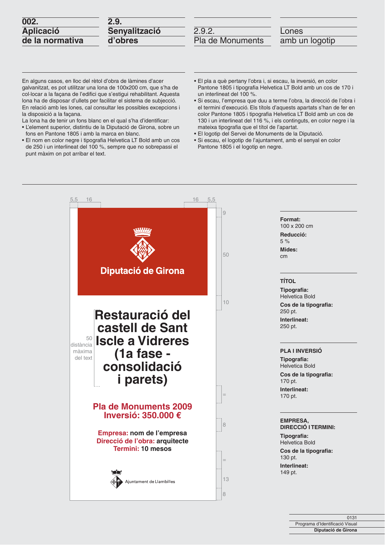| 002.             |
|------------------|
| <b>Aplicació</b> |
| de la normativa  |

| 2.9.          |  |
|---------------|--|
| Senyalització |  |
| d'obres       |  |

Lones

amb un logotip

En alguns casos, en lloc del rètol d'obra de làmines d'acer galvanitzat, es pot utilitzar una lona de 100x200 cm, que s'ha de col·locar a la façana de l'edifici que s'estigui rehabilitant. Aquesta lona ha de disposar d'ullets per facilitar el sistema de subjecció. En relació amb les lones, cal consultar les possibles excepcions i la disposició a la façana.

ž

La lona ha de tenir un fons blanc en el qual s'ha d'identificar:

- · L'element superior, distintiu de la Diputació de Girona, sobre un fons en Pantone 1805 i amb la marca en blanc.
- · El nom en color negre i tipografia Helvetica LT Bold amb un cos de 250 i un interlineat del 100 %, sempre que no sobrepassi el punt màxim on pot arribar el text.
- · El pla a què pertany l'obra i, si escau, la inversió, en color Pantone 1805 i tipografia Helvetica LT Bold amb un cos de 170 i un interlineat del 100 %.
- · Si escau, l'empresa que duu a terme l'obra, la direcció de l'obra i el termini d'execució. Els títols d'aquests apartats s'han de fer en color Pantone 1805 i tipografia Helvetica LT Bold amb un cos de 130 i un interlineat del 116 %, i els continguts, en color negre i la mateixa tipografia que el títol de l'apartat.
- · El logotip del Servei de Monuments de la Diputació.
- · Si escau, el logotip de l'ajuntament, amb el senyal en color Pantone 1805 i el logotip en negre.

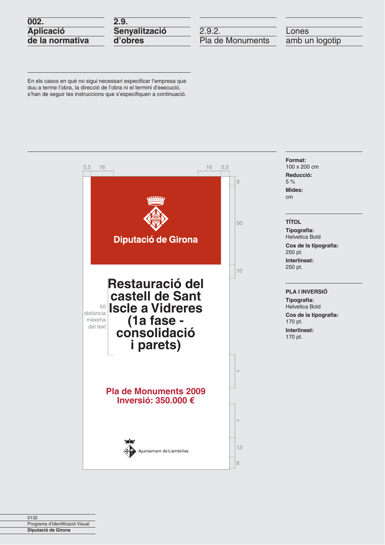| 002.             |               |
|------------------|---------------|
| <b>Aplicació</b> | <b>Se</b>     |
| de la normativa  | $\mathsf{d}'$ |

9. nyalització obres

 $2.9.2.$ Pla de Monuments

Lones amb un logotip

En els casos en què no sigui necessari especificar l'empresa que duu a terme l'obra, la direcció de l'obra ni el termini d'execució, s'han de seguir les instruccions que s'especifiquen a continuació.

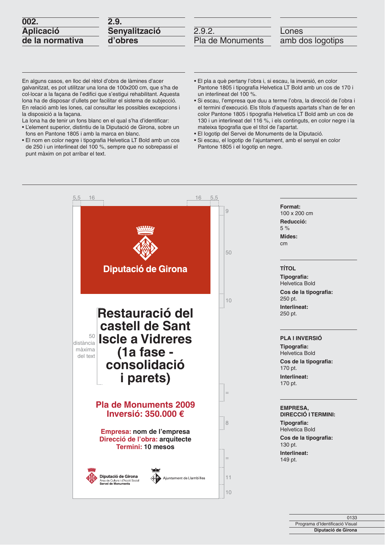| 002.             |
|------------------|
| <b>Aplicació</b> |
| de la normativa  |

| 2.9.          |  |
|---------------|--|
| Senyalització |  |
| d'obres       |  |

Lones amb dos logotips

En alguns casos, en lloc del rètol d'obra de làmines d'acer galvanitzat, es pot utilitzar una lona de 100x200 cm, que s'ha de col·locar a la façana de l'edifici que s'estigui rehabilitant. Aquesta lona ha de disposar d'ullets per facilitar el sistema de subjecció. En relació amb les lones, cal consultar les possibles excepcions i la disposició a la façana.

La lona ha de tenir un fons blanc en el qual s'ha d'identificar:

- · L'element superior, distintiu de la Diputació de Girona, sobre un fons en Pantone 1805 i amb la marca en blanc.
- · El nom en color negre i tipografia Helvetica LT Bold amb un cos de 250 i un interlineat del 100 %, sempre que no sobrepassi el punt màxim on pot arribar el text.
- · El pla a què pertany l'obra i, si escau, la inversió, en color Pantone 1805 i tipografia Helvetica LT Bold amb un cos de 170 i un interlineat del 100 %.
- · Si escau, l'empresa que duu a terme l'obra, la direcció de l'obra i el termini d'execució. Els títols d'aquests apartats s'han de fer en color Pantone 1805 i tipografia Helvetica LT Bold amb un cos de 130 i un interlineat del 116 %, i els continguts, en color negre i la mateixa tipografia que el títol de l'apartat.
- · El logotip del Servei de Monuments de la Diputació.
- · Si escau, el logotip de l'ajuntament, amb el senyal en color Pantone 1805 i el logotip en negre.

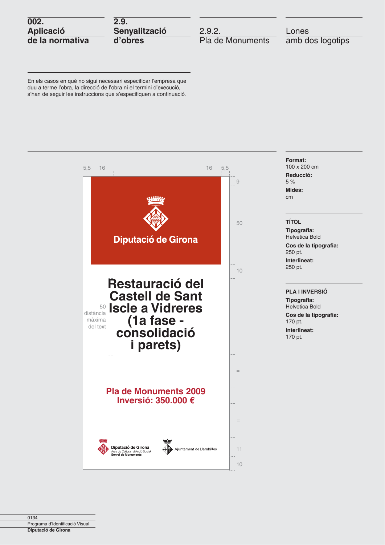| 002.            |  |
|-----------------|--|
| Aplicació       |  |
| de la normativa |  |

 $2.9.$ **Senyalització** d'obres

 $2.9.2.$ Pla de Monuments

Lones amb dos logotips

En els casos en què no sigui necessari especificar l'empresa que duu a terme l'obra, la direcció de l'obra ni el termini d'execució, s'han de seguir les instruccions que s'especifiquen a continuació.

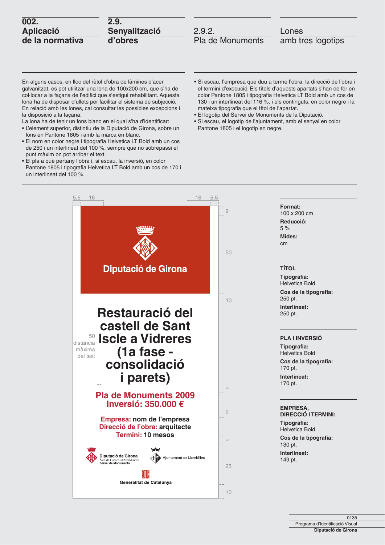| 002.             |  |  |
|------------------|--|--|
| <b>Aplicació</b> |  |  |
| de la normativa  |  |  |

| 2.9.          |  |
|---------------|--|
| Senyalització |  |
| d'obres       |  |

Lones amb tres logotips

En alguns casos, en lloc del rètol d'obra de làmines d'acer galvanitzat, es pot utilitzar una lona de 100x200 cm, que s'ha de col·locar a la façana de l'edifici que s'estigui rehabilitant. Aquesta lona ha de disposar d'ullets per facilitar el sistema de subjecció. En relació amb les lones, cal consultar les possibles excepcions i la disposició a la façana.

La lona ha de tenir un fons blanc en el qual s'ha d'identificar:

- L'element superior, distintiu de la Diputació de Girona, sobre un fons en Pantone 1805 i amb la marca en blanc.
- El nom en color negre i tipografia Helvetica LT Bold amb un cos de 250 i un interlineat del 100 %, sempre que no sobrepassi el punt màxim on pot arribar el text.
- · El pla a què pertany l'obra i, si escau, la inversió, en color Pantone 1805 i tipografia Helvetica LT Bold amb un cos de 170 i un interlineat del 100 %.
- · Si escau, l'empresa que duu a terme l'obra, la direcció de l'obra i el termini d'execució. Els títols d'aquests apartats s'han de fer en color Pantone 1805 i tipografia Helvetica LT Bold amb un cos de 130 i un interlineat del 116 %, i els continguts, en color negre i la mateixa tipografia que el títol de l'apartat.
- · El logotip del Servei de Monuments de la Diputació.
- · Si escau, el logotip de l'ajuntament, amb el senyal en color Pantone 1805 i el logotip en negre.



| U 135                           |  |
|---------------------------------|--|
| Programa d'Identificació Visual |  |
| Diputació de Girona             |  |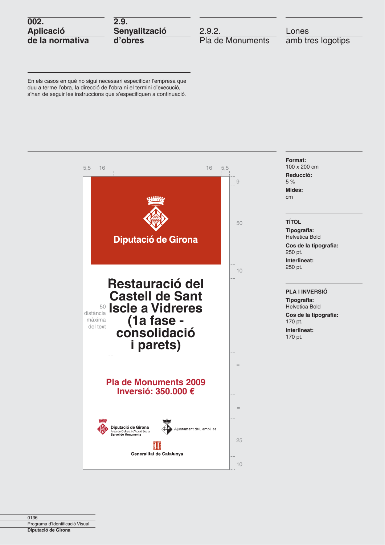| 002.             |  |
|------------------|--|
| <b>Aplicació</b> |  |
| de la normativa  |  |

 $2.9.$ Senyalització d'obres

 $2.9.2.$ Pla de Monuments

Lones amb tres logotips

En els casos en què no sigui necessari especificar l'empresa que duu a terme l'obra, la direcció de l'obra ni el termini d'execució, s'han de seguir les instruccions que s'especifiquen a continuació.